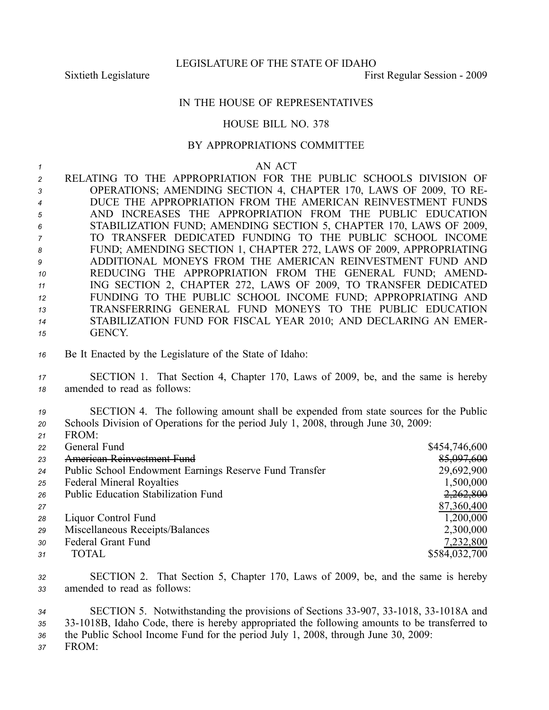LEGISLATURE OF THE STATE OF IDAHO

Sixtieth Legislature First Regular Session - 2009

## IN THE HOUSE OF REPRESENTATIVES

## HOUSE BILL NO. 378

## BY APPROPRIATIONS COMMITTEE

*1* AN ACT

 RELATING TO THE APPROPRIATION FOR THE PUBLIC SCHOOLS DIVISION OF OPERATIONS; AMENDING SECTION 4, CHAPTER 170, LAWS OF 2009, TO RE- DUCE THE APPROPRIATION FROM THE AMERICAN REINVESTMENT FUNDS AND INCREASES THE APPROPRIATION FROM THE PUBLIC EDUCATION STABILIZATION FUND; AMENDING SECTION 5, CHAPTER 170, LAWS OF 2009, TO TRANSFER DEDICATED FUNDING TO THE PUBLIC SCHOOL INCOME FUND; AMENDING SECTION 1, CHAPTER 272, LAWS OF 2009, APPROPRIATING ADDITIONAL MONEYS FROM THE AMERICAN REINVESTMENT FUND AND REDUCING THE APPROPRIATION FROM THE GENERAL FUND; AMEND- ING SECTION 2, CHAPTER 272, LAWS OF 2009, TO TRANSFER DEDICATED FUNDING TO THE PUBLIC SCHOOL INCOME FUND; APPROPRIATING AND TRANSFERRING GENERAL FUND MONEYS TO THE PUBLIC EDUCATION STABILIZATION FUND FOR FISCAL YEAR 2010; AND DECLARING AN EMER-*15* GENCY.

- *<sup>16</sup>* Be It Enacted by the Legislature of the State of Idaho:
- *<sup>17</sup>* SECTION 1. That Section 4, Chapter 170, Laws of 2009, be, and the same is hereby *<sup>18</sup>* amended to read as follows:
- *<sup>19</sup>* SECTION 4. The following amount shall be expended from state sources for the Public *<sup>20</sup>* Schools Division of Operations for the period July 1, 2008, through June 30, 2009:
- *<sup>21</sup>* FROM: *<sup>22</sup>* General Fund \$454,746,600 <sup>23</sup> American Reinvestment Fund *<sup>24</sup>* Public School Endowment Earnings Reserve Fund Transfer 29,692,900 <sup>25</sup> Federal Mineral Royalties 1,500,000<br>
<sup>26</sup> Public Education Stabilization Fund<br>
<sup>2,262,800</sup> 26 Public Education Stabilization Fund *<sup>27</sup>* 87,360,400 *<sup>28</sup>* Liquor Control Fund 1,200,000 *<sup>29</sup>* Miscellaneous Receipts/Balances 2,300,000 *<sup>30</sup>* Federal Grant Fund 7,232,800 *<sup>31</sup>* TOTAL \$584,032,700
- *<sup>32</sup>* SECTION 2. That Section 5, Chapter 170, Laws of 2009, be, and the same is hereby *<sup>33</sup>* amended to read as follows:
- 34 SECTION 5. Notwithstanding the provisions of Sections 33-907, 33-1018, 33-1018A and *<sup>35</sup>* 331018B, Idaho Code, there is hereby appropriated the following amounts to be transferred to *<sup>36</sup>* the Public School Income Fund for the period July 1, 2008, through June 30, 2009:

*37* FROM: